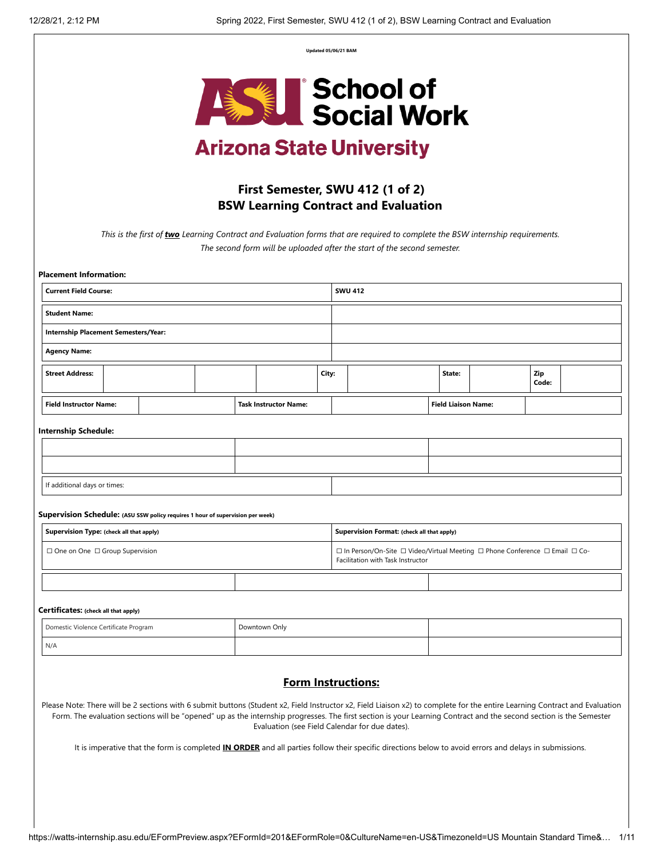**Updated 05/06/21 BAM**



# **Arizona State University**

## **First Semester, SWU 412 (1 of 2) BSW Learning Contract and Evaluation**

*This is the first of two Learning Contract and Evaluation forms that are required to complete the BSW internship requirements. The second form will be uploaded after the start of the second semester.* 

| <b>Placement Information:</b>                                                  |                                      |  |  |  |                              |       |                                                                                                                   |  |                            |  |              |  |
|--------------------------------------------------------------------------------|--------------------------------------|--|--|--|------------------------------|-------|-------------------------------------------------------------------------------------------------------------------|--|----------------------------|--|--------------|--|
| <b>Current Field Course:</b>                                                   |                                      |  |  |  |                              |       | <b>SWU 412</b>                                                                                                    |  |                            |  |              |  |
| <b>Student Name:</b>                                                           |                                      |  |  |  |                              |       |                                                                                                                   |  |                            |  |              |  |
| Internship Placement Semesters/Year:                                           |                                      |  |  |  |                              |       |                                                                                                                   |  |                            |  |              |  |
| <b>Agency Name:</b>                                                            |                                      |  |  |  |                              |       |                                                                                                                   |  |                            |  |              |  |
| <b>Street Address:</b>                                                         |                                      |  |  |  |                              | City: |                                                                                                                   |  | State:                     |  | Zip<br>Code: |  |
| <b>Field Instructor Name:</b>                                                  |                                      |  |  |  | <b>Task Instructor Name:</b> |       |                                                                                                                   |  | <b>Field Liaison Name:</b> |  |              |  |
| <b>Internship Schedule:</b>                                                    |                                      |  |  |  |                              |       |                                                                                                                   |  |                            |  |              |  |
| If additional days or times:                                                   |                                      |  |  |  |                              |       |                                                                                                                   |  |                            |  |              |  |
| Supervision Schedule: (ASU SSW policy requires 1 hour of supervision per week) |                                      |  |  |  |                              |       |                                                                                                                   |  |                            |  |              |  |
| Supervision Type: (check all that apply)                                       |                                      |  |  |  |                              |       | Supervision Format: (check all that apply)                                                                        |  |                            |  |              |  |
| □ One on One □ Group Supervision                                               |                                      |  |  |  |                              |       | □ In Person/On-Site □ Video/Virtual Meeting □ Phone Conference □ Email □ Co-<br>Facilitation with Task Instructor |  |                            |  |              |  |
|                                                                                |                                      |  |  |  |                              |       |                                                                                                                   |  |                            |  |              |  |
|                                                                                | Certificates: (check all that apply) |  |  |  |                              |       |                                                                                                                   |  |                            |  |              |  |
| Domestic Violence Certificate Program                                          |                                      |  |  |  | Downtown Only                |       |                                                                                                                   |  |                            |  |              |  |
| N/A                                                                            |                                      |  |  |  |                              |       |                                                                                                                   |  |                            |  |              |  |

### **Form Instructions:**

Please Note: There will be 2 sections with 6 submit buttons (Student x2, Field Instructor x2, Field Liaison x2) to complete for the entire Learning Contract and Evaluation Form. The evaluation sections will be "opened" up as the internship progresses. The first section is your Learning Contract and the second section is the Semester Evaluation (see Field Calendar for due dates).

It is imperative that the form is completed **IN ORDER** and all parties follow their specific directions below to avoid errors and delays in submissions.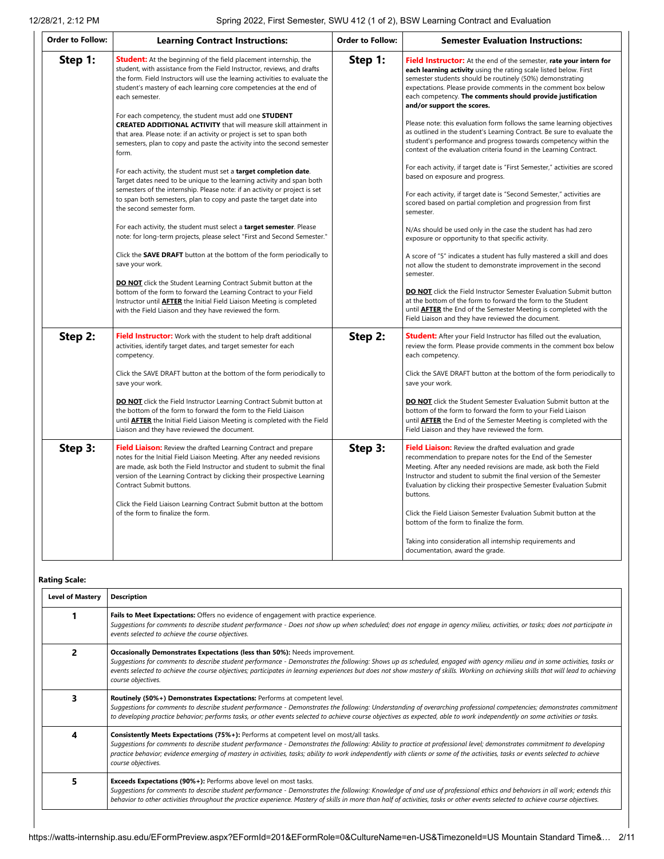| <b>Order to Follow:</b> | <b>Learning Contract Instructions:</b>                                                                                                                                                                                                                                                                                                                                                                                                                                                                                                                                                                                                                                                                                                                                                                                                                                                                                                                                                                                                                                                                                                                                                                                                                                                                                                                                                                                                                                                                                        | <b>Order to Follow:</b> | <b>Semester Evaluation Instructions:</b>                                                                                                                                                                                                                                                                                                                                                                                                                                                                                                                                                                                                                                                                                                                                                                                                                                                                                                                                                                                                                                                                                                                                                                                                                                                                                                                                                                                                                                                                            |
|-------------------------|-------------------------------------------------------------------------------------------------------------------------------------------------------------------------------------------------------------------------------------------------------------------------------------------------------------------------------------------------------------------------------------------------------------------------------------------------------------------------------------------------------------------------------------------------------------------------------------------------------------------------------------------------------------------------------------------------------------------------------------------------------------------------------------------------------------------------------------------------------------------------------------------------------------------------------------------------------------------------------------------------------------------------------------------------------------------------------------------------------------------------------------------------------------------------------------------------------------------------------------------------------------------------------------------------------------------------------------------------------------------------------------------------------------------------------------------------------------------------------------------------------------------------------|-------------------------|---------------------------------------------------------------------------------------------------------------------------------------------------------------------------------------------------------------------------------------------------------------------------------------------------------------------------------------------------------------------------------------------------------------------------------------------------------------------------------------------------------------------------------------------------------------------------------------------------------------------------------------------------------------------------------------------------------------------------------------------------------------------------------------------------------------------------------------------------------------------------------------------------------------------------------------------------------------------------------------------------------------------------------------------------------------------------------------------------------------------------------------------------------------------------------------------------------------------------------------------------------------------------------------------------------------------------------------------------------------------------------------------------------------------------------------------------------------------------------------------------------------------|
| Step 1:                 | <b>Student:</b> At the beginning of the field placement internship, the<br>student, with assistance from the Field Instructor, reviews, and drafts<br>the form. Field Instructors will use the learning activities to evaluate the<br>student's mastery of each learning core competencies at the end of<br>each semester.<br>For each competency, the student must add one STUDENT<br><b>CREATED ADDITIONAL ACTIVITY</b> that will measure skill attainment in<br>that area. Please note: if an activity or project is set to span both<br>semesters, plan to copy and paste the activity into the second semester<br>form.<br>For each activity, the student must set a <b>target completion date</b> .<br>Target dates need to be unique to the learning activity and span both<br>semesters of the internship. Please note: if an activity or project is set<br>to span both semesters, plan to copy and paste the target date into<br>the second semester form.<br>For each activity, the student must select a <b>target semester</b> . Please<br>note: for long-term projects, please select "First and Second Semester."<br>Click the <b>SAVE DRAFT</b> button at the bottom of the form periodically to<br>save your work.<br><b>DO NOT</b> click the Student Learning Contract Submit button at the<br>bottom of the form to forward the Learning Contract to your Field<br>Instructor until <b>AFTER</b> the Initial Field Liaison Meeting is completed<br>with the Field Liaison and they have reviewed the form. | Step 1:                 | <b>Field Instructor:</b> At the end of the semester, rate your intern for<br>each learning activity using the rating scale listed below. First<br>semester students should be routinely (50%) demonstrating<br>expectations. Please provide comments in the comment box below<br>each competency. The comments should provide justification<br>and/or support the scores.<br>Please note: this evaluation form follows the same learning objectives<br>as outlined in the student's Learning Contract. Be sure to evaluate the<br>student's performance and progress towards competency within the<br>context of the evaluation criteria found in the Learning Contract.<br>For each activity, if target date is "First Semester," activities are scored<br>based on exposure and progress.<br>For each activity, if target date is "Second Semester," activities are<br>scored based on partial completion and progression from first<br>semester.<br>N/As should be used only in the case the student has had zero<br>exposure or opportunity to that specific activity.<br>A score of "5" indicates a student has fully mastered a skill and does<br>not allow the student to demonstrate improvement in the second<br>semester.<br><b>DO NOT</b> click the Field Instructor Semester Evaluation Submit button<br>at the bottom of the form to forward the form to the Student<br>until <b>AFTER</b> the End of the Semester Meeting is completed with the<br>Field Liaison and they have reviewed the document. |
| Step 2:                 | Field Instructor: Work with the student to help draft additional<br>activities, identify target dates, and target semester for each<br>competency.<br>Click the SAVE DRAFT button at the bottom of the form periodically to<br>save your work.<br><b>DO NOT</b> click the Field Instructor Learning Contract Submit button at<br>the bottom of the form to forward the form to the Field Liaison<br>until <b>AFTER</b> the Initial Field Liaison Meeting is completed with the Field<br>Liaison and they have reviewed the document.                                                                                                                                                                                                                                                                                                                                                                                                                                                                                                                                                                                                                                                                                                                                                                                                                                                                                                                                                                                          | Step 2:                 | <b>Student:</b> After your Field Instructor has filled out the evaluation,<br>review the form. Please provide comments in the comment box below<br>each competency.<br>Click the SAVE DRAFT button at the bottom of the form periodically to<br>save your work.<br><b>DO NOT</b> click the Student Semester Evaluation Submit button at the<br>bottom of the form to forward the form to your Field Liaison<br>until <b>AFTER</b> the End of the Semester Meeting is completed with the<br>Field Liaison and they have reviewed the form.                                                                                                                                                                                                                                                                                                                                                                                                                                                                                                                                                                                                                                                                                                                                                                                                                                                                                                                                                                           |
| Step 3:                 | <b>Field Liaison:</b> Review the drafted Learning Contract and prepare<br>notes for the Initial Field Liaison Meeting. After any needed revisions<br>are made, ask both the Field Instructor and student to submit the final<br>version of the Learning Contract by clicking their prospective Learning<br>Contract Submit buttons.<br>Click the Field Liaison Learning Contract Submit button at the bottom<br>of the form to finalize the form.                                                                                                                                                                                                                                                                                                                                                                                                                                                                                                                                                                                                                                                                                                                                                                                                                                                                                                                                                                                                                                                                             | Step 3:                 | Field Liaison: Review the drafted evaluation and grade<br>recommendation to prepare notes for the End of the Semester<br>Meeting. After any needed revisions are made, ask both the Field<br>Instructor and student to submit the final version of the Semester<br>Evaluation by clicking their prospective Semester Evaluation Submit<br>buttons.<br>Click the Field Liaison Semester Evaluation Submit button at the<br>bottom of the form to finalize the form.<br>Taking into consideration all internship requirements and<br>documentation, award the grade.                                                                                                                                                                                                                                                                                                                                                                                                                                                                                                                                                                                                                                                                                                                                                                                                                                                                                                                                                  |

### **Rating Scale:**

| <b>Level of Mastery</b> | <b>Description</b>                                                                                                                                                                                                                                                                                                                                                                                                                                                                |
|-------------------------|-----------------------------------------------------------------------------------------------------------------------------------------------------------------------------------------------------------------------------------------------------------------------------------------------------------------------------------------------------------------------------------------------------------------------------------------------------------------------------------|
|                         | Fails to Meet Expectations: Offers no evidence of engagement with practice experience.<br>Suggestions for comments to describe student performance - Does not show up when scheduled; does not engage in agency milieu, activities, or tasks; does not participate in<br>events selected to achieve the course objectives.                                                                                                                                                        |
| 2                       | Occasionally Demonstrates Expectations (less than 50%): Needs improvement.<br>Suggestions for comments to describe student performance - Demonstrates the following: Shows up as scheduled, engaged with agency milieu and in some activities, tasks or<br>events selected to achieve the course objectives; participates in learning experiences but does not show mastery of skills. Working on achieving skills that will lead to achieving<br>course objectives.              |
| 3                       | Routinely (50%+) Demonstrates Expectations: Performs at competent level.<br>Suggestions for comments to describe student performance - Demonstrates the following: Understanding of overarching professional competencies; demonstrates commitment<br>to developing practice behavior; performs tasks, or other events selected to achieve course objectives as expected, able to work independently on some activities or tasks.                                                 |
| 4                       | <b>Consistently Meets Expectations (75%+):</b> Performs at competent level on most/all tasks.<br>Suggestions for comments to describe student performance - Demonstrates the following: Ability to practice at professional level; demonstrates commitment to developing<br>practice behavior; evidence emerging of mastery in activities, tasks; ability to work independently with clients or some of the activities, tasks or events selected to achieve<br>course objectives. |
| 5.                      | <b>Exceeds Expectations (90%+):</b> Performs above level on most tasks.<br>Suggestions for comments to describe student performance - Demonstrates the following: Knowledge of and use of professional ethics and behaviors in all work; extends this<br>behavior to other activities throughout the practice experience. Mastery of skills in more than half of activities, tasks or other events selected to achieve course objectives.                                         |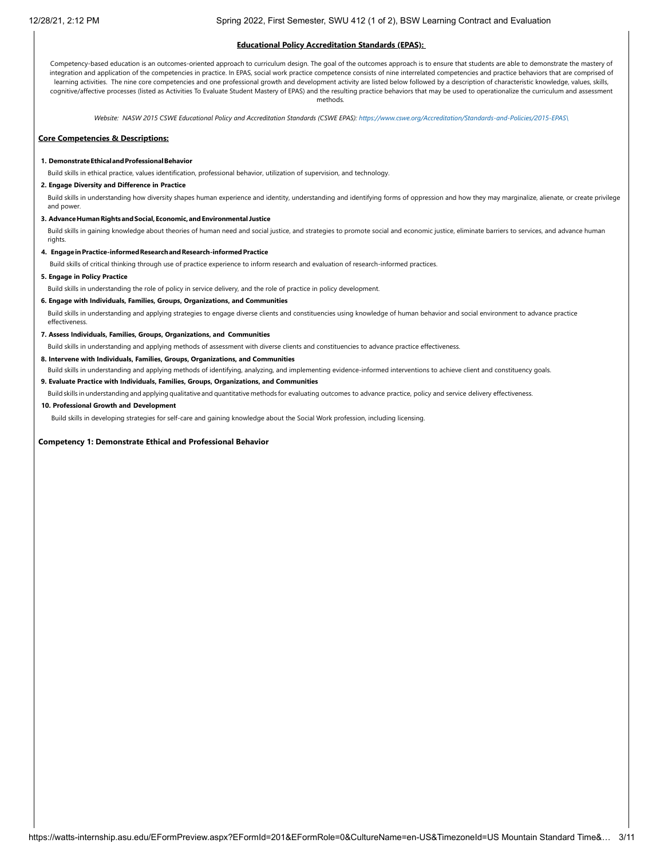#### **Educational Policy Accreditation Standards (EPAS):**

Competency-based education is an outcomes-oriented approach to curriculum design. The goal of the outcomes approach is to ensure that students are able to demonstrate the mastery of integration and application of the competencies in practice. In EPAS, social work practice competence consists of nine interrelated competencies and practice behaviors that are comprised of learning activities. The nine core competencies and one professional growth and development activity are listed below followed by a description of characteristic knowledge, values, skills, cognitive/affective processes (listed as Activities To Evaluate Student Mastery of EPAS) and the resulting practice behaviors that may be used to operationalize the curriculum and assessment methods*.*

*Website: NASW 2015 CSWE Educational Policy and Accreditation Standards (CSWE EPAS): [https://www.cswe.org/Accreditation/Standards-and-Policies/2015-EPAS\](https://www.cswe.org/Accreditation/Standards-and-Policies/2015-EPAS/)*

#### **Core Competencies & Descriptions:**

#### **1. DemonstrateEthicalandProfessionalBehavior**

Build skills in ethical practice, values identification, professional behavior, utilization of supervision, and technology.

#### **2. Engage Diversity and Difference in Practice**

Build skills in understanding how diversity shapes human experience and identity, understanding and identifying forms of oppression and how they may marginalize, alienate, or create privilege and power.

#### **3. AdvanceHumanRightsandSocial,Economic,andEnvironmental Justice**

Build skills in gaining knowledge about theories of human need and social justice, and strategies to promote social and economic justice, eliminate barriers to services, and advance human rights.

#### **4. EngageinPractice-informedResearchandResearch-informedPractice**

Build skills of critical thinking through use of practice experience to inform research and evaluation of research-informed practices.

#### **5. Engage in Policy Practice**

Build skills in understanding the role of policy in service delivery, and the role of practice in policy development.

### **6. Engage with Individuals, Families, Groups, Organizations, and Communities**

Build skills in understanding and applying strategies to engage diverse clients and constituencies using knowledge of human behavior and social environment to advance practice effectiveness.

#### **7. Assess Individuals, Families, Groups, Organizations, and Communities**

Build skills in understanding and applying methods of assessment with diverse clients and constituencies to advance practice effectiveness.

**8. Intervene with Individuals, Families, Groups, Organizations, and Communities**

Build skills in understanding and applying methods of identifying, analyzing, and implementing evidence-informed interventions to achieve client and constituency goals.

#### **9. Evaluate Practice with Individuals, Families, Groups, Organizations, and Communities**

Build skills in understanding and applying qualitative and quantitative methods for evaluating outcomes to advance practice, policy and service delivery effectiveness.

#### **10. Professional Growth and Development**

Build skills in developing strategies for self-care and gaining knowledge about the Social Work profession, including licensing.

**Competency 1: Demonstrate Ethical and Professional Behavior**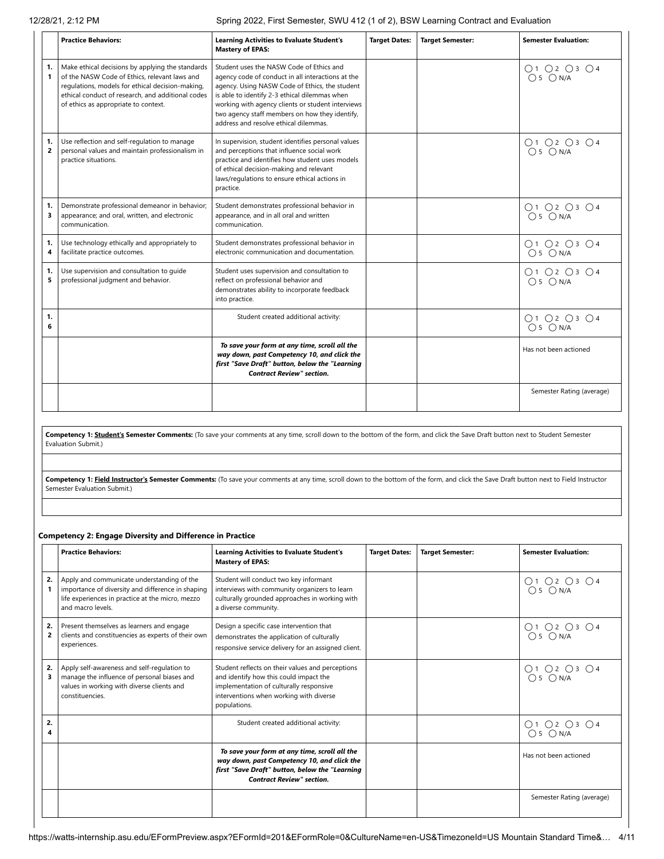|                      | <b>Practice Behaviors:</b>                                                                                                                                                                                                                         | <b>Learning Activities to Evaluate Student's</b><br><b>Mastery of EPAS:</b>                                                                                                                                                                                                                                                                      | <b>Target Dates:</b> | <b>Target Semester:</b> | <b>Semester Evaluation:</b> |
|----------------------|----------------------------------------------------------------------------------------------------------------------------------------------------------------------------------------------------------------------------------------------------|--------------------------------------------------------------------------------------------------------------------------------------------------------------------------------------------------------------------------------------------------------------------------------------------------------------------------------------------------|----------------------|-------------------------|-----------------------------|
| 1.<br>$\mathbf{1}$   | Make ethical decisions by applying the standards<br>of the NASW Code of Ethics, relevant laws and<br>regulations, models for ethical decision-making,<br>ethical conduct of research, and additional codes<br>of ethics as appropriate to context. | Student uses the NASW Code of Ethics and<br>agency code of conduct in all interactions at the<br>agency. Using NASW Code of Ethics, the student<br>is able to identify 2-3 ethical dilemmas when<br>working with agency clients or student interviews<br>two agency staff members on how they identify,<br>address and resolve ethical dilemmas. |                      |                         | O1 O2 O3 O4<br>$O 5$ $ON/A$ |
| 1.<br>$\overline{2}$ | Use reflection and self-regulation to manage<br>personal values and maintain professionalism in<br>practice situations.                                                                                                                            | In supervision, student identifies personal values<br>and perceptions that influence social work<br>practice and identifies how student uses models<br>of ethical decision-making and relevant<br>laws/regulations to ensure ethical actions in<br>practice.                                                                                     |                      |                         | O1 O2 O3 O4<br>$O5$ $ON/A$  |
| 1.<br>3              | Demonstrate professional demeanor in behavior;<br>appearance; and oral, written, and electronic<br>communication.                                                                                                                                  | Student demonstrates professional behavior in<br>appearance, and in all oral and written<br>communication.                                                                                                                                                                                                                                       |                      |                         | O1 O2 O3 O4<br>$O5$ $ON/A$  |
| 1.<br>4              | Use technology ethically and appropriately to<br>facilitate practice outcomes.                                                                                                                                                                     | Student demonstrates professional behavior in<br>electronic communication and documentation.                                                                                                                                                                                                                                                     |                      |                         | O1 O2 O3 O4<br>$O5$ $ON/A$  |
| 1.<br>5              | Use supervision and consultation to quide<br>professional judgment and behavior.                                                                                                                                                                   | Student uses supervision and consultation to<br>reflect on professional behavior and<br>demonstrates ability to incorporate feedback<br>into practice.                                                                                                                                                                                           |                      |                         | O1 O2 O3 O4<br>$O5$ $ON/A$  |
| 1.<br>6              |                                                                                                                                                                                                                                                    | Student created additional activity:                                                                                                                                                                                                                                                                                                             |                      |                         | O1 O2 O3 O4<br>$O5$ $ON/A$  |
|                      |                                                                                                                                                                                                                                                    | To save your form at any time, scroll all the<br>way down, past Competency 10, and click the<br>first "Save Draft" button, below the "Learning<br><b>Contract Review" section.</b>                                                                                                                                                               |                      |                         | Has not been actioned       |
|                      |                                                                                                                                                                                                                                                    |                                                                                                                                                                                                                                                                                                                                                  |                      |                         | Semester Rating (average)   |

Competency 1: **Student's Semester Comments:** (To save your comments at any time, scroll down to the bottom of the form, and click the Save Draft button next to Student Semester Evaluation Submit.)

Competency 1: **Field Instructor's Semester Comments:** (To save your comments at any time, scroll down to the bottom of the form, and click the Save Draft button next to Field Instructor Semester Evaluation Submit.)

### **Competency 2: Engage Diversity and Difference in Practice**

|                      | <b>Practice Behaviors:</b>                                                                                                                                               | <b>Learning Activities to Evaluate Student's</b><br><b>Mastery of EPAS:</b>                                                                                                                      | <b>Target Dates:</b> | <b>Target Semester:</b> | <b>Semester Evaluation:</b> |
|----------------------|--------------------------------------------------------------------------------------------------------------------------------------------------------------------------|--------------------------------------------------------------------------------------------------------------------------------------------------------------------------------------------------|----------------------|-------------------------|-----------------------------|
| 2.<br>1              | Apply and communicate understanding of the<br>importance of diversity and difference in shaping<br>life experiences in practice at the micro, mezzo<br>and macro levels. | Student will conduct two key informant<br>interviews with community organizers to learn<br>culturally grounded approaches in working with<br>a diverse community.                                |                      |                         | 01 02 03 04<br>05 0 N/A     |
| 2.<br>$\overline{2}$ | Present themselves as learners and engage<br>clients and constituencies as experts of their own<br>experiences.                                                          | Design a specific case intervention that<br>demonstrates the application of culturally<br>responsive service delivery for an assigned client.                                                    |                      |                         | O1 O2 O3 O4<br>$O5$ $ON/A$  |
| 2.<br>3              | Apply self-awareness and self-regulation to<br>manage the influence of personal biases and<br>values in working with diverse clients and<br>constituencies.              | Student reflects on their values and perceptions<br>and identify how this could impact the<br>implementation of culturally responsive<br>interventions when working with diverse<br>populations. |                      |                         | 01 02 03 04<br>05 0 N/A     |
| 2.                   |                                                                                                                                                                          | Student created additional activity:                                                                                                                                                             |                      |                         | O1 O2 O3 O4<br>$O5$ $ON/A$  |
|                      |                                                                                                                                                                          | To save your form at any time, scroll all the<br>way down, past Competency 10, and click the<br>first "Save Draft" button, below the "Learning<br><b>Contract Review" section.</b>               |                      |                         | Has not been actioned       |
|                      |                                                                                                                                                                          |                                                                                                                                                                                                  |                      |                         | Semester Rating (average)   |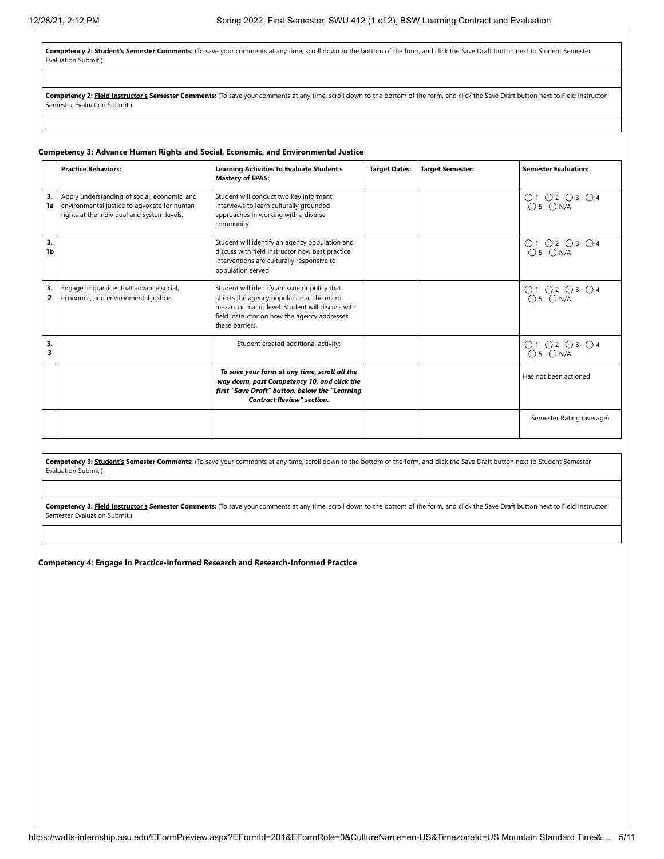Competency 2: Student's Semester Comments: (To save your comments at any time, scroll down to the bottom of the form, and click the Save Draft button next to Student Semester Evaluation Submit.)

Competency 2: Field Instructor's Semester Comments: (To save your comments at any time, scroll down to the bottom of the form, and click the Save Draft button next to Field Instructor Semester Evaluation Submit.)

#### **Competency 3: Advance Human Rights and Social, Economic, and Environmental Justice**

|                      | <b>Practice Behaviors:</b>                                                                                                                 | <b>Learning Activities to Evaluate Student's</b><br><b>Mastery of EPAS:</b>                                                                                                                                         | <b>Target Dates:</b> | <b>Target Semester:</b> | <b>Semester Evaluation:</b> |
|----------------------|--------------------------------------------------------------------------------------------------------------------------------------------|---------------------------------------------------------------------------------------------------------------------------------------------------------------------------------------------------------------------|----------------------|-------------------------|-----------------------------|
| 3.<br>1a             | Apply understanding of social, economic, and<br>environmental justice to advocate for human<br>rights at the individual and system levels. | Student will conduct two key informant<br>interviews to learn culturally grounded<br>approaches in working with a diverse<br>community.                                                                             |                      |                         | 01 02 03 04<br>05 0 N/A     |
| 3.<br>1 <sub>b</sub> |                                                                                                                                            | Student will identify an agency population and<br>discuss with field instructor how best practice<br>interventions are culturally responsive to<br>population served.                                               |                      |                         | 01 02 03 04<br>05 0 N/A     |
| 3.<br>2              | Engage in practices that advance social,<br>economic, and environmental justice.                                                           | Student will identify an issue or policy that<br>affects the agency population at the micro,<br>mezzo, or macro level. Student will discuss with<br>field instructor on how the agency addresses<br>these barriers. |                      |                         | 01 02 03 04<br>05 0 N/A     |
| 3.<br>3              |                                                                                                                                            | Student created additional activity:                                                                                                                                                                                |                      |                         | O1 O2 O3 O4<br>$O5$ $ON/A$  |
|                      |                                                                                                                                            | To save your form at any time, scroll all the<br>way down, past Competency 10, and click the<br>first "Save Draft" button, below the "Learning<br><b>Contract Review" section.</b>                                  |                      |                         | Has not been actioned       |
|                      |                                                                                                                                            |                                                                                                                                                                                                                     |                      |                         | Semester Rating (average)   |

Competency 3: Student's Semester Comments: (To save your comments at any time, scroll down to the bottom of the form, and click the Save Draft button next to Student Semester Evaluation Submit.)

Competency 3: Field Instructor's Semester Comments: (To save your comments at any time, scroll down to the bottom of the form, and click the Save Draft button next to Field Instructor Semester Evaluation Submit.)

**Competency 4: Engage in Practice-Informed Research and Research-Informed Practice**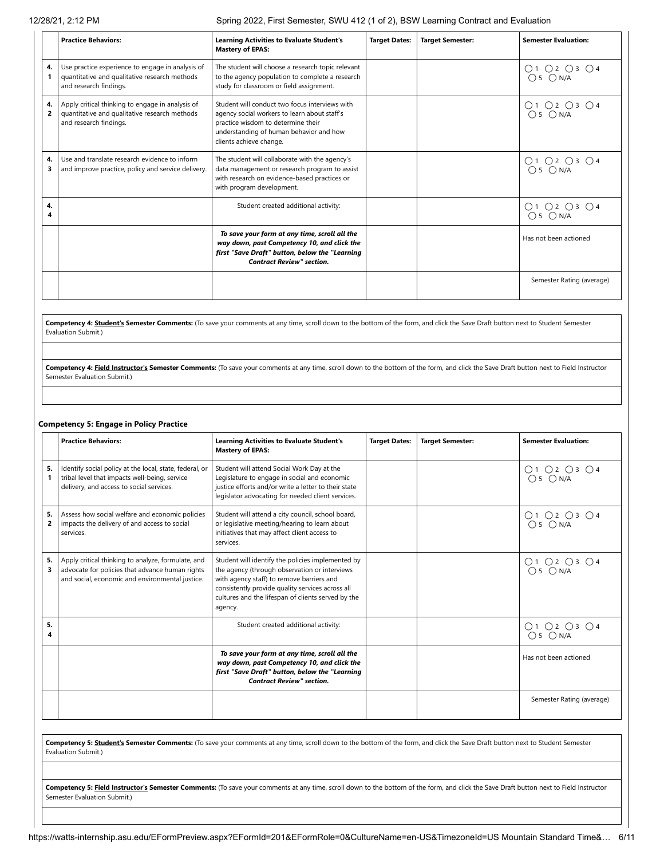|         | <b>Practice Behaviors:</b>                                                                                                  | <b>Learning Activities to Evaluate Student's</b><br><b>Mastery of EPAS:</b>                                                                                                                                | <b>Target Dates:</b> | <b>Target Semester:</b> | <b>Semester Evaluation:</b> |
|---------|-----------------------------------------------------------------------------------------------------------------------------|------------------------------------------------------------------------------------------------------------------------------------------------------------------------------------------------------------|----------------------|-------------------------|-----------------------------|
| 4.      | Use practice experience to engage in analysis of<br>quantitative and qualitative research methods<br>and research findings. | The student will choose a research topic relevant<br>to the agency population to complete a research<br>study for classroom or field assignment.                                                           |                      |                         | O1 O2 O3 O4<br>$O5$ $ON/A$  |
| 4.<br>2 | Apply critical thinking to engage in analysis of<br>quantitative and qualitative research methods<br>and research findings. | Student will conduct two focus interviews with<br>agency social workers to learn about staff's<br>practice wisdom to determine their<br>understanding of human behavior and how<br>clients achieve change. |                      |                         | 01 02 03 04<br>05 0 N/A     |
| 4.<br>з | Use and translate research evidence to inform<br>and improve practice, policy and service delivery.                         | The student will collaborate with the agency's<br>data management or research program to assist<br>with research on evidence-based practices or<br>with program development.                               |                      |                         | 01 02 03 04<br>05 0 N/A     |
| 4.<br>4 |                                                                                                                             | Student created additional activity:                                                                                                                                                                       |                      |                         | O1 O2 O3 O4<br>$O5$ $ON/A$  |
|         |                                                                                                                             | To save your form at any time, scroll all the<br>way down, past Competency 10, and click the<br>first "Save Draft" button, below the "Learning<br><b>Contract Review" section.</b>                         |                      |                         | Has not been actioned       |
|         |                                                                                                                             |                                                                                                                                                                                                            |                      |                         | Semester Rating (average)   |

Competency 4: **Student's Semester Comments:** (To save your comments at any time, scroll down to the bottom of the form, and click the Save Draft button next to Student Semester Evaluation Submit.)

Competency 4: Field Instructor's Semester Comments: (To save your comments at any time, scroll down to the bottom of the form, and click the Save Draft button next to Field Instructor Semester Evaluation Submit.)

### **Competency 5: Engage in Policy Practice**

|                      | <b>Practice Behaviors:</b>                                                                                                                               | <b>Learning Activities to Evaluate Student's</b><br><b>Mastery of EPAS:</b>                                                                                                                                                                                          | <b>Target Dates:</b> | <b>Target Semester:</b> | <b>Semester Evaluation:</b> |
|----------------------|----------------------------------------------------------------------------------------------------------------------------------------------------------|----------------------------------------------------------------------------------------------------------------------------------------------------------------------------------------------------------------------------------------------------------------------|----------------------|-------------------------|-----------------------------|
| 5.                   | Identify social policy at the local, state, federal, or<br>tribal level that impacts well-being, service<br>delivery, and access to social services.     | Student will attend Social Work Day at the<br>Legislature to engage in social and economic<br>justice efforts and/or write a letter to their state<br>legislator advocating for needed client services.                                                              |                      |                         | 01 02 03 04<br>05 0 N/A     |
| 5.<br>$\overline{2}$ | Assess how social welfare and economic policies<br>impacts the delivery of and access to social<br>services.                                             | Student will attend a city council, school board,<br>or legislative meeting/hearing to learn about<br>initiatives that may affect client access to<br>services.                                                                                                      |                      |                         | 01 02 03 04<br>05 0 N/A     |
| 5.<br>3              | Apply critical thinking to analyze, formulate, and<br>advocate for policies that advance human rights<br>and social, economic and environmental justice. | Student will identify the policies implemented by<br>the agency (through observation or interviews<br>with agency staff) to remove barriers and<br>consistently provide quality services across all<br>cultures and the lifespan of clients served by the<br>agency. |                      |                         | 01 02 03 04<br>05 0 N/A     |
| 5.<br>4              |                                                                                                                                                          | Student created additional activity:                                                                                                                                                                                                                                 |                      |                         | O1 O2 O3 O4<br>$O5$ $ON/A$  |
|                      |                                                                                                                                                          | To save your form at any time, scroll all the<br>way down, past Competency 10, and click the<br>first "Save Draft" button, below the "Learning<br><b>Contract Review" section.</b>                                                                                   |                      |                         | Has not been actioned       |
|                      |                                                                                                                                                          |                                                                                                                                                                                                                                                                      |                      |                         | Semester Rating (average)   |

**Competency 5: Student's Semester Comments:** (To save your comments at any time, scroll down to the bottom of the form, and click the Save Draft button next to Student Semester Evaluation Submit.)

Competency 5: Field Instructor's Semester Comments: (To save your comments at any time, scroll down to the bottom of the form, and click the Save Draft button next to Field Instructor Semester Evaluation Submit.)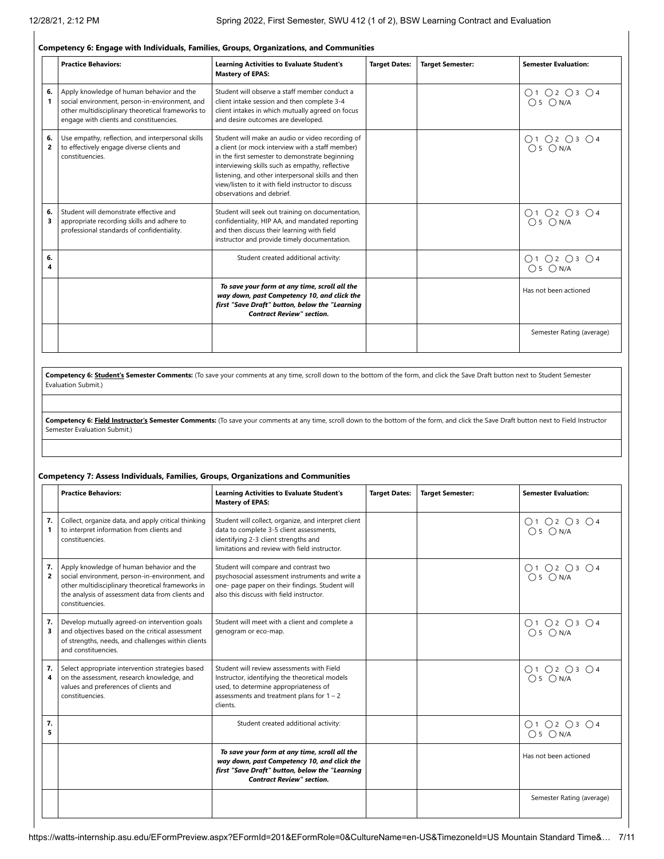### **Competency 6: Engage with Individuals, Families, Groups, Organizations, and Communities**

|                      | <b>Practice Behaviors:</b>                                                                                                                                                                  | <b>Learning Activities to Evaluate Student's</b><br><b>Mastery of EPAS:</b>                                                                                                                                                                                                                                                                        | <b>Target Dates:</b> | <b>Target Semester:</b> | <b>Semester Evaluation:</b> |
|----------------------|---------------------------------------------------------------------------------------------------------------------------------------------------------------------------------------------|----------------------------------------------------------------------------------------------------------------------------------------------------------------------------------------------------------------------------------------------------------------------------------------------------------------------------------------------------|----------------------|-------------------------|-----------------------------|
| 6.<br>1              | Apply knowledge of human behavior and the<br>social environment, person-in-environment, and<br>other multidisciplinary theoretical frameworks to<br>engage with clients and constituencies. | Student will observe a staff member conduct a<br>client intake session and then complete 3-4<br>client intakes in which mutually agreed on focus<br>and desire outcomes are developed.                                                                                                                                                             |                      |                         | O1 O2 O3 O4<br>$O5$ $ON/A$  |
| 6.<br>$\overline{2}$ | Use empathy, reflection, and interpersonal skills<br>to effectively engage diverse clients and<br>constituencies.                                                                           | Student will make an audio or video recording of<br>a client (or mock interview with a staff member)<br>in the first semester to demonstrate beginning<br>interviewing skills such as empathy, reflective<br>listening, and other interpersonal skills and then<br>view/listen to it with field instructor to discuss<br>observations and debrief. |                      |                         | 01 02 03 04<br>05 0 N/A     |
| 6.<br>3              | Student will demonstrate effective and<br>appropriate recording skills and adhere to<br>professional standards of confidentiality.                                                          | Student will seek out training on documentation,<br>confidentiality, HIP AA, and mandated reporting<br>and then discuss their learning with field<br>instructor and provide timely documentation.                                                                                                                                                  |                      |                         | 01 02 03 04<br>05 0 N/A     |
| 6.<br>4              |                                                                                                                                                                                             | Student created additional activity:                                                                                                                                                                                                                                                                                                               |                      |                         | O1O2O3O4<br>$O5$ $ON/A$     |
|                      |                                                                                                                                                                                             | To save your form at any time, scroll all the<br>way down, past Competency 10, and click the<br>first "Save Draft" button, below the "Learning<br><b>Contract Review" section.</b>                                                                                                                                                                 |                      |                         | Has not been actioned       |
|                      |                                                                                                                                                                                             |                                                                                                                                                                                                                                                                                                                                                    |                      |                         | Semester Rating (average)   |

Competency 6: Student's Semester Comments: (To save your comments at any time, scroll down to the bottom of the form, and click the Save Draft button next to Student Semester Evaluation Submit.)

Competency 6: Field Instructor's Semester Comments: (To save your comments at any time, scroll down to the bottom of the form, and click the Save Draft button next to Field Instructor Semester Evaluation Submit.)

### **Competency 7: Assess Individuals, Families, Groups, Organizations and Communities**

|         | <b>Practice Behaviors:</b>                                                                                                                                                                                              | <b>Learning Activities to Evaluate Student's</b><br><b>Mastery of EPAS:</b>                                                                                                                      | <b>Target Dates:</b> | <b>Target Semester:</b> | <b>Semester Evaluation:</b> |
|---------|-------------------------------------------------------------------------------------------------------------------------------------------------------------------------------------------------------------------------|--------------------------------------------------------------------------------------------------------------------------------------------------------------------------------------------------|----------------------|-------------------------|-----------------------------|
| 7.<br>1 | Collect, organize data, and apply critical thinking<br>to interpret information from clients and<br>constituencies.                                                                                                     | Student will collect, organize, and interpret client<br>data to complete 3-5 client assessments,<br>identifying 2-3 client strengths and<br>limitations and review with field instructor.        |                      |                         | O1 O2 O3 O4<br>$O5$ $ON/A$  |
| 7.<br>2 | Apply knowledge of human behavior and the<br>social environment, person-in-environment, and<br>other multidisciplinary theoretical frameworks in<br>the analysis of assessment data from clients and<br>constituencies. | Student will compare and contrast two<br>psychosocial assessment instruments and write a<br>one- page paper on their findings. Student will<br>also this discuss with field instructor.          |                      |                         | O1 O2 O3 O4<br>$O5$ $ON/A$  |
| 7.<br>3 | Develop mutually agreed-on intervention goals<br>and objectives based on the critical assessment<br>of strengths, needs, and challenges within clients<br>and constituencies.                                           | Student will meet with a client and complete a<br>genogram or eco-map.                                                                                                                           |                      |                         | Q1Q2Q3Q4<br>$O5$ $ON/A$     |
| 7.<br>4 | Select appropriate intervention strategies based<br>on the assessment, research knowledge, and<br>values and preferences of clients and<br>constituencies.                                                              | Student will review assessments with Field<br>Instructor, identifying the theoretical models<br>used, to determine appropriateness of<br>assessments and treatment plans for $1 - 2$<br>clients. |                      |                         | O1 O2 O3 O4<br>OSON/A       |
| 7.<br>5 |                                                                                                                                                                                                                         | Student created additional activity:                                                                                                                                                             |                      |                         | O1 O2 O3 O4<br>$O5$ $ON/A$  |
|         |                                                                                                                                                                                                                         | To save your form at any time, scroll all the<br>way down, past Competency 10, and click the<br>first "Save Draft" button, below the "Learning<br><b>Contract Review" section.</b>               |                      |                         | Has not been actioned       |
|         |                                                                                                                                                                                                                         |                                                                                                                                                                                                  |                      |                         | Semester Rating (average)   |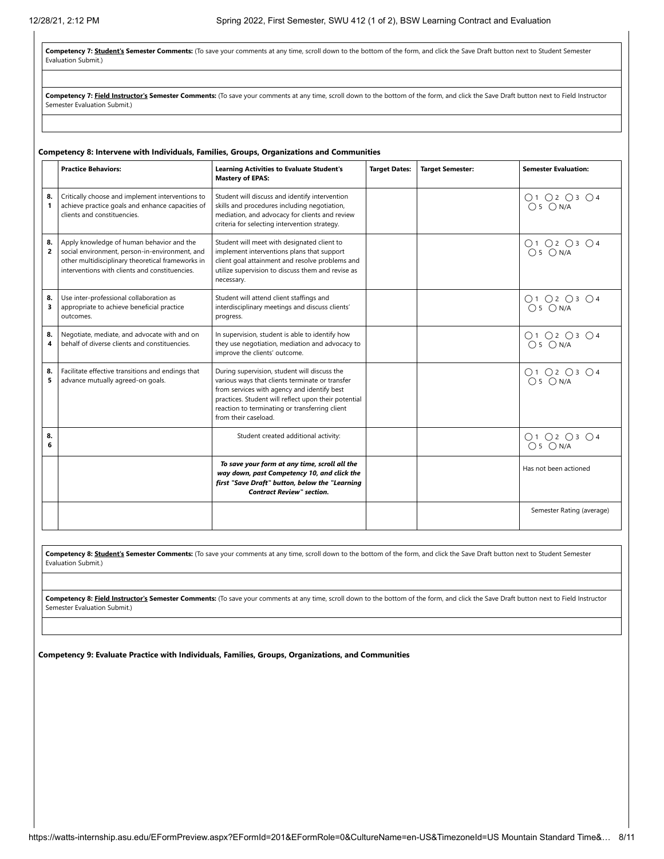Competency 7: Student's Semester Comments: (To save your comments at any time, scroll down to the bottom of the form, and click the Save Draft button next to Student Semester Evaluation Submit.)

Competency 7: Field Instructor's Semester Comments: (To save your comments at any time, scroll down to the bottom of the form, and click the Save Draft button next to Field Instructor Semester Evaluation Submit.)

#### **Competency 8: Intervene with Individuals, Families, Groups, Organizations and Communities**

|                      | <b>Practice Behaviors:</b>                                                                                                                                                                         | <b>Learning Activities to Evaluate Student's</b><br><b>Mastery of EPAS:</b>                                                                                                                                                                                                      | <b>Target Dates:</b> | <b>Target Semester:</b> | <b>Semester Evaluation:</b> |
|----------------------|----------------------------------------------------------------------------------------------------------------------------------------------------------------------------------------------------|----------------------------------------------------------------------------------------------------------------------------------------------------------------------------------------------------------------------------------------------------------------------------------|----------------------|-------------------------|-----------------------------|
| 8.<br>1              | Critically choose and implement interventions to<br>achieve practice goals and enhance capacities of<br>clients and constituencies.                                                                | Student will discuss and identify intervention<br>skills and procedures including negotiation,<br>mediation, and advocacy for clients and review<br>criteria for selecting intervention strategy.                                                                                |                      |                         | O1 O2 O3 O4<br>$O5$ $ON/A$  |
| 8.<br>$\overline{2}$ | Apply knowledge of human behavior and the<br>social environment, person-in-environment, and<br>other multidisciplinary theoretical frameworks in<br>interventions with clients and constituencies. | Student will meet with designated client to<br>implement interventions plans that support<br>client goal attainment and resolve problems and<br>utilize supervision to discuss them and revise as<br>necessary.                                                                  |                      |                         | 01 02 03 04<br>05 0 N/A     |
| 8.<br>3              | Use inter-professional collaboration as<br>appropriate to achieve beneficial practice<br>outcomes.                                                                                                 | Student will attend client staffings and<br>interdisciplinary meetings and discuss clients'<br>progress.                                                                                                                                                                         |                      |                         | O1 O2 O3 O4<br>$O5$ $ON/A$  |
| 8.<br>4              | Negotiate, mediate, and advocate with and on<br>behalf of diverse clients and constituencies.                                                                                                      | In supervision, student is able to identify how<br>they use negotiation, mediation and advocacy to<br>improve the clients' outcome.                                                                                                                                              |                      |                         | 01 02 03 04<br>05 0 N/A     |
| 8.<br>5              | Facilitate effective transitions and endings that<br>advance mutually agreed-on goals.                                                                                                             | During supervision, student will discuss the<br>various ways that clients terminate or transfer<br>from services with agency and identify best<br>practices. Student will reflect upon their potential<br>reaction to terminating or transferring client<br>from their caseload. |                      |                         | O1 O2 O3 O4<br>$O5$ $ON/A$  |
| 8.<br>6              |                                                                                                                                                                                                    | Student created additional activity:                                                                                                                                                                                                                                             |                      |                         | O1 O2 O3 O4<br>$O5$ $ON/A$  |
|                      |                                                                                                                                                                                                    | To save your form at any time, scroll all the<br>way down, past Competency 10, and click the<br>first "Save Draft" button, below the "Learning<br><b>Contract Review" section.</b>                                                                                               |                      |                         | Has not been actioned       |
|                      |                                                                                                                                                                                                    |                                                                                                                                                                                                                                                                                  |                      |                         | Semester Rating (average)   |

Competency 8: **Student's Semester Comments:** (To save your comments at any time, scroll down to the bottom of the form, and click the Save Draft button next to Student Semester Evaluation Submit.)

Competency 8: Field Instructor's Semester Comments: (To save your comments at any time, scroll down to the bottom of the form, and click the Save Draft button next to Field Instructor Semester Evaluation Submit.)

**Competency 9: Evaluate Practice with Individuals, Families, Groups, Organizations, and Communities**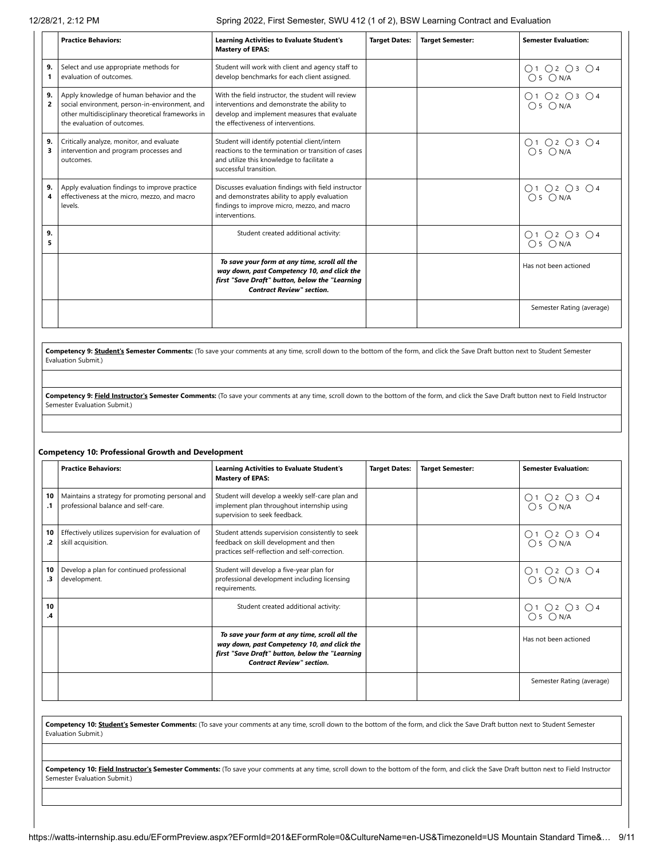|                      | <b>Practice Behaviors:</b>                                                                                                                                                      | <b>Learning Activities to Evaluate Student's</b><br><b>Mastery of EPAS:</b>                                                                                                               | <b>Target Dates:</b> | <b>Target Semester:</b> | <b>Semester Evaluation:</b> |
|----------------------|---------------------------------------------------------------------------------------------------------------------------------------------------------------------------------|-------------------------------------------------------------------------------------------------------------------------------------------------------------------------------------------|----------------------|-------------------------|-----------------------------|
| 9.<br>1              | Select and use appropriate methods for<br>evaluation of outcomes.                                                                                                               | Student will work with client and agency staff to<br>develop benchmarks for each client assigned.                                                                                         |                      |                         | O1 O2 O3 O4<br>$O5$ $ON/A$  |
| 9.<br>$\overline{2}$ | Apply knowledge of human behavior and the<br>social environment, person-in-environment, and<br>other multidisciplinary theoretical frameworks in<br>the evaluation of outcomes. | With the field instructor, the student will review<br>interventions and demonstrate the ability to<br>develop and implement measures that evaluate<br>the effectiveness of interventions. |                      |                         | O1O2O3O4<br>$O5$ $ON/A$     |
| 9.<br>3              | Critically analyze, monitor, and evaluate<br>intervention and program processes and<br>outcomes.                                                                                | Student will identify potential client/intern<br>reactions to the termination or transition of cases<br>and utilize this knowledge to facilitate a<br>successful transition.              |                      |                         | 01 02 03 04<br>05 0 N/A     |
| 9.<br>4              | Apply evaluation findings to improve practice<br>effectiveness at the micro, mezzo, and macro<br>levels.                                                                        | Discusses evaluation findings with field instructor<br>and demonstrates ability to apply evaluation<br>findings to improve micro, mezzo, and macro<br>interventions.                      |                      |                         | 01 02 03 04<br>05 0 N/A     |
| 9.<br>5              |                                                                                                                                                                                 | Student created additional activity:                                                                                                                                                      |                      |                         | O1 O2 O3 O4<br>$O5$ $ON/A$  |
|                      |                                                                                                                                                                                 | To save your form at any time, scroll all the<br>way down, past Competency 10, and click the<br>first "Save Draft" button, below the "Learning<br><b>Contract Review" section.</b>        |                      |                         | Has not been actioned       |
|                      |                                                                                                                                                                                 |                                                                                                                                                                                           |                      |                         | Semester Rating (average)   |

**Competency 9: Student's Semester Comments:** (To save your comments at any time, scroll down to the bottom of the form, and click the Save Draft button next to Student Semester Evaluation Submit.)

Competency 9: Field Instructor's Semester Comments: (To save your comments at any time, scroll down to the bottom of the form, and click the Save Draft button next to Field Instructor Semester Evaluation Submit.)

#### **Competency 10: Professional Growth and Development**

|          | <b>Practice Behaviors:</b>                                                             | <b>Learning Activities to Evaluate Student's</b><br><b>Mastery of EPAS:</b>                                                                                                        | <b>Target Dates:</b> | <b>Target Semester:</b> | <b>Semester Evaluation:</b> |
|----------|----------------------------------------------------------------------------------------|------------------------------------------------------------------------------------------------------------------------------------------------------------------------------------|----------------------|-------------------------|-----------------------------|
| 10       | Maintains a strategy for promoting personal and<br>professional balance and self-care. | Student will develop a weekly self-care plan and<br>implement plan throughout internship using<br>supervision to seek feedback.                                                    |                      |                         | 01 02 03 04<br>05 0 N/A     |
| 10<br>.2 | Effectively utilizes supervision for evaluation of<br>skill acquisition.               | Student attends supervision consistently to seek<br>feedback on skill development and then<br>practices self-reflection and self-correction.                                       |                      |                         | 01 02 03 04<br>05 0 N/A     |
| 10<br>.3 | Develop a plan for continued professional<br>development.                              | Student will develop a five-year plan for<br>professional development including licensing<br>requirements.                                                                         |                      |                         | O1 O2 O3 O4<br>$O5$ $ON/A$  |
| 10<br>.4 |                                                                                        | Student created additional activity:                                                                                                                                               |                      |                         | O1 O2 O3 O4<br>$O5$ $ON/A$  |
|          |                                                                                        | To save your form at any time, scroll all the<br>way down, past Competency 10, and click the<br>first "Save Draft" button, below the "Learning<br><b>Contract Review" section.</b> |                      |                         | Has not been actioned       |
|          |                                                                                        |                                                                                                                                                                                    |                      |                         | Semester Rating (average)   |

**Competency 10: Student's Semester Comments:** (To save your comments at any time, scroll down to the bottom of the form, and click the Save Draft button next to Student Semester Evaluation Submit.)

Competency 10: Field Instructor's Semester Comments: (To save your comments at any time, scroll down to the bottom of the form, and click the Save Draft button next to Field Instructor Semester Evaluation Submit.)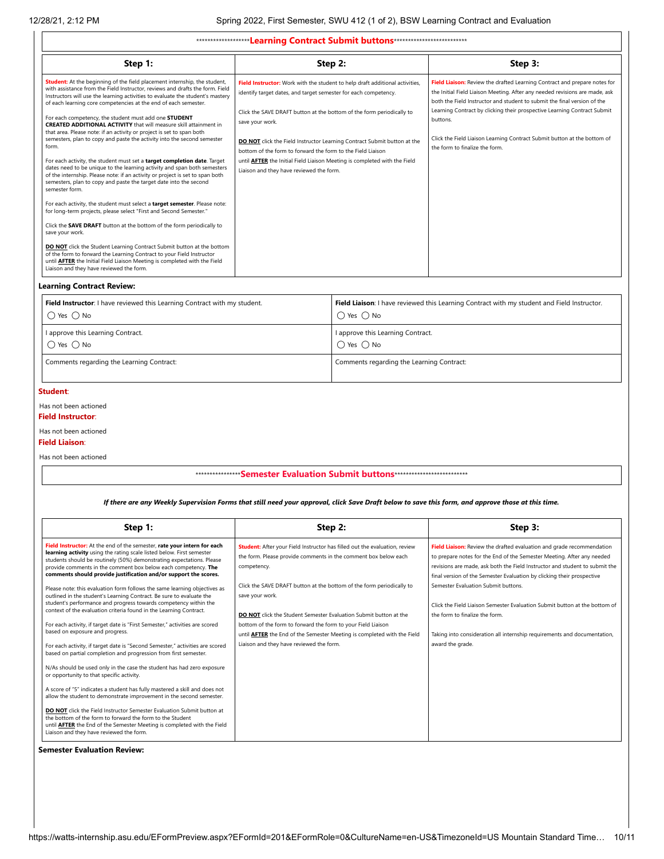| ********************Learning Contract Submit buttons ***************************                                                                                                                                                                                                                                             |                                                                                                                                                                                             |                                                                                                                                                                                                                                      |  |  |  |  |  |
|------------------------------------------------------------------------------------------------------------------------------------------------------------------------------------------------------------------------------------------------------------------------------------------------------------------------------|---------------------------------------------------------------------------------------------------------------------------------------------------------------------------------------------|--------------------------------------------------------------------------------------------------------------------------------------------------------------------------------------------------------------------------------------|--|--|--|--|--|
| Step 1:                                                                                                                                                                                                                                                                                                                      | Step 2:                                                                                                                                                                                     | Step 3:                                                                                                                                                                                                                              |  |  |  |  |  |
| <b>Student:</b> At the beginning of the field placement internship, the student,<br>with assistance from the Field Instructor, reviews and drafts the form. Field<br>Instructors will use the learning activities to evaluate the student's mastery<br>of each learning core competencies at the end of each semester.       | Field Instructor: Work with the student to help draft additional activities,<br>identify target dates, and target semester for each competency.                                             | Field Liaison: Review the drafted Learning Contract and prepare notes for<br>the Initial Field Liaison Meeting. After any needed revisions are made, ask<br>both the Field Instructor and student to submit the final version of the |  |  |  |  |  |
| For each competency, the student must add one STUDENT<br><b>CREATED ADDITIONAL ACTIVITY</b> that will measure skill attainment in<br>that area. Please note: if an activity or project is set to span both<br>semesters, plan to copy and paste the activity into the second semester<br>form.                               | Click the SAVE DRAFT button at the bottom of the form periodically to<br>save your work.<br>DO NOT click the Field Instructor Learning Contract Submit button at the                        | Learning Contract by clicking their prospective Learning Contract Submit<br>buttons.<br>Click the Field Liaison Learning Contract Submit button at the bottom of<br>the form to finalize the form.                                   |  |  |  |  |  |
| For each activity, the student must set a target completion date. Target<br>dates need to be unique to the learning activity and span both semesters<br>of the internship. Please note: if an activity or project is set to span both<br>semesters, plan to copy and paste the target date into the second<br>semester form. | bottom of the form to forward the form to the Field Liaison<br>until <b>AFTER</b> the Initial Field Liaison Meeting is completed with the Field<br>Liaison and they have reviewed the form. |                                                                                                                                                                                                                                      |  |  |  |  |  |
| For each activity, the student must select a target semester. Please note:<br>for long-term projects, please select "First and Second Semester."                                                                                                                                                                             |                                                                                                                                                                                             |                                                                                                                                                                                                                                      |  |  |  |  |  |
| Click the SAVE DRAFT button at the bottom of the form periodically to<br>save your work.                                                                                                                                                                                                                                     |                                                                                                                                                                                             |                                                                                                                                                                                                                                      |  |  |  |  |  |
| <b>DO NOT</b> click the Student Learning Contract Submit button at the bottom<br>of the form to forward the Learning Contract to your Field Instructor<br>until <b>AFTER</b> the Initial Field Liaison Meeting is completed with the Field<br>Liaison and they have reviewed the form.                                       |                                                                                                                                                                                             |                                                                                                                                                                                                                                      |  |  |  |  |  |

#### **Learning Contract Review:**

| Field Instructor: I have reviewed this Learning Contract with my student. | Field Liaison: I have reviewed this Learning Contract with my student and Field Instructor. |
|---------------------------------------------------------------------------|---------------------------------------------------------------------------------------------|
| $\bigcirc$ Yes $\bigcirc$ No                                              | $\bigcap$ Yes $\bigcap$ No                                                                  |
| I approve this Learning Contract.                                         | I approve this Learning Contract.                                                           |
| $\bigcap$ Yes $\bigcap$ No                                                | $\bigcap$ Yes $\bigcap$ No                                                                  |
| Comments regarding the Learning Contract:                                 | Comments regarding the Learning Contract:                                                   |

#### **Student**:

Has not been actioned

**Field Instructor**:

Has not been actioned

**Field Liaison**:

Has not been actioned

### \*\*\*\*\*\*\*\*\*\*\*\*\*\*\*\***Semester Evaluation Submit buttons**\*\*\*\*\*\*\*\*\*\*\*\*\*\*\*\*\*\*\*\*\*\*\*\*\*\*

### *If there are any Weekly Supervision Forms that still need your approval, click Save Draft below to save this form, and approve those at this time.*

| Step 1:                                                                                                                                                                                                                                                                                                                                                                                                                                                                                                                                                                                                                                                                                                                                                                                                                                                                                                                                                                                                                                                                                                                      | Step 2:                                                                                                                                                                                                                                                                                                                                                     | Step 3:                                                                                                                                                                                                                                                                                                  |
|------------------------------------------------------------------------------------------------------------------------------------------------------------------------------------------------------------------------------------------------------------------------------------------------------------------------------------------------------------------------------------------------------------------------------------------------------------------------------------------------------------------------------------------------------------------------------------------------------------------------------------------------------------------------------------------------------------------------------------------------------------------------------------------------------------------------------------------------------------------------------------------------------------------------------------------------------------------------------------------------------------------------------------------------------------------------------------------------------------------------------|-------------------------------------------------------------------------------------------------------------------------------------------------------------------------------------------------------------------------------------------------------------------------------------------------------------------------------------------------------------|----------------------------------------------------------------------------------------------------------------------------------------------------------------------------------------------------------------------------------------------------------------------------------------------------------|
| Field Instructor: At the end of the semester, rate your intern for each<br>learning activity using the rating scale listed below. First semester<br>students should be routinely (50%) demonstrating expectations. Please<br>provide comments in the comment box below each competency. The<br>comments should provide justification and/or support the scores.                                                                                                                                                                                                                                                                                                                                                                                                                                                                                                                                                                                                                                                                                                                                                              | Student: After your Field Instructor has filled out the evaluation, review<br>the form. Please provide comments in the comment box below each<br>competency.                                                                                                                                                                                                | Field Liaison: Review the drafted evaluation and grade recommendation<br>to prepare notes for the End of the Semester Meeting. After any needed<br>revisions are made, ask both the Field Instructor and student to submit the<br>final version of the Semester Evaluation by clicking their prospective |
| Please note: this evaluation form follows the same learning objectives as<br>outlined in the student's Learning Contract. Be sure to evaluate the<br>student's performance and progress towards competency within the<br>context of the evaluation criteria found in the Learning Contract.<br>For each activity, if target date is "First Semester," activities are scored<br>based on exposure and progress.<br>For each activity, if target date is "Second Semester," activities are scored<br>based on partial completion and progression from first semester.<br>N/As should be used only in the case the student has had zero exposure<br>or opportunity to that specific activity.<br>A score of "5" indicates a student has fully mastered a skill and does not<br>allow the student to demonstrate improvement in the second semester.<br><b>DO NOT</b> click the Field Instructor Semester Evaluation Submit button at<br>the bottom of the form to forward the form to the Student<br>until <b>AFTER</b> the End of the Semester Meeting is completed with the Field<br>Liaison and they have reviewed the form. | Click the SAVE DRAFT button at the bottom of the form periodically to<br>save your work.<br>DO NOT click the Student Semester Evaluation Submit button at the<br>bottom of the form to forward the form to your Field Liaison<br>until <b>AFTER</b> the End of the Semester Meeting is completed with the Field<br>Liaison and they have reviewed the form. | Semester Evaluation Submit buttons.<br>Click the Field Liaison Semester Evaluation Submit button at the bottom of<br>the form to finalize the form.<br>Taking into consideration all internship requirements and documentation,<br>award the grade.                                                      |

#### **Semester Evaluation Review:**